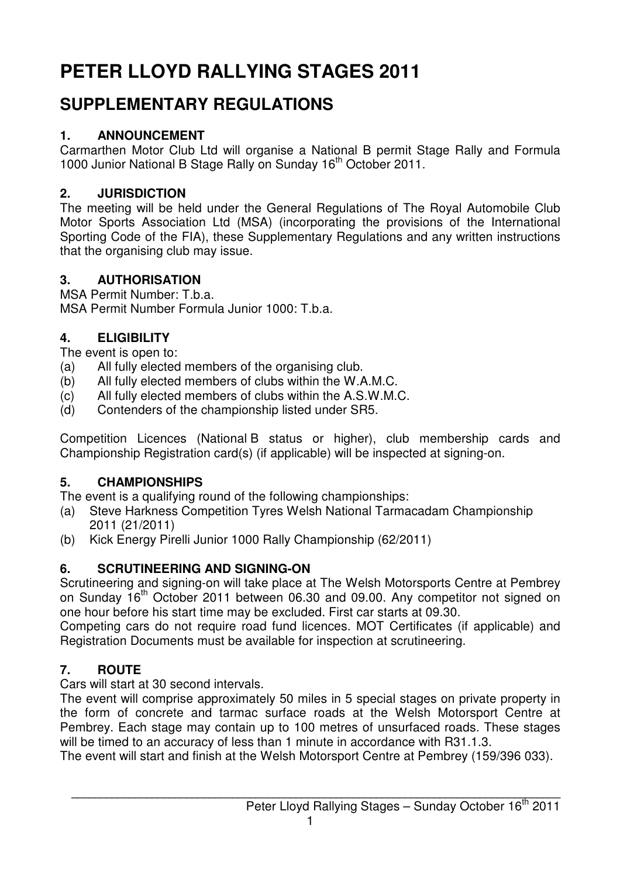# **PETER LLOYD RALLYING STAGES 2011**

## **SUPPLEMENTARY REGULATIONS**

## **1. ANNOUNCEMENT**

Carmarthen Motor Club Ltd will organise a National B permit Stage Rally and Formula 1000 Junior National B Stage Rally on Sunday 16<sup>th</sup> October 2011.

## **2. JURISDICTION**

The meeting will be held under the General Regulations of The Royal Automobile Club Motor Sports Association Ltd (MSA) (incorporating the provisions of the International Sporting Code of the FIA), these Supplementary Regulations and any written instructions that the organising club may issue.

## **3. AUTHORISATION**

MSA Permit Number: T.b.a.

MSA Permit Number Formula Junior 1000: T.b.a.

## **4. ELIGIBILITY**

The event is open to:

- (a) All fully elected members of the organising club.
- (b) All fully elected members of clubs within the W.A.M.C.
- (c) All fully elected members of clubs within the A.S.W.M.C.
- (d) Contenders of the championship listed under SR5.

Competition Licences (National B status or higher), club membership cards and Championship Registration card(s) (if applicable) will be inspected at signing-on.

## **5. CHAMPIONSHIPS**

The event is a qualifying round of the following championships:

- (a) Steve Harkness Competition Tyres Welsh National Tarmacadam Championship 2011 (21/2011)
- (b) Kick Energy Pirelli Junior 1000 Rally Championship (62/2011)

## **6. SCRUTINEERING AND SIGNING-ON**

Scrutineering and signing-on will take place at The Welsh Motorsports Centre at Pembrey on Sunday 16<sup>th</sup> October 2011 between 06.30 and 09.00. Any competitor not signed on one hour before his start time may be excluded. First car starts at 09.30.

Competing cars do not require road fund licences. MOT Certificates (if applicable) and Registration Documents must be available for inspection at scrutineering.

## **7. ROUTE**

Cars will start at 30 second intervals.

The event will comprise approximately 50 miles in 5 special stages on private property in the form of concrete and tarmac surface roads at the Welsh Motorsport Centre at Pembrey. Each stage may contain up to 100 metres of unsurfaced roads. These stages will be timed to an accuracy of less than 1 minute in accordance with R31.1.3.

The event will start and finish at the Welsh Motorsport Centre at Pembrey (159/396 033).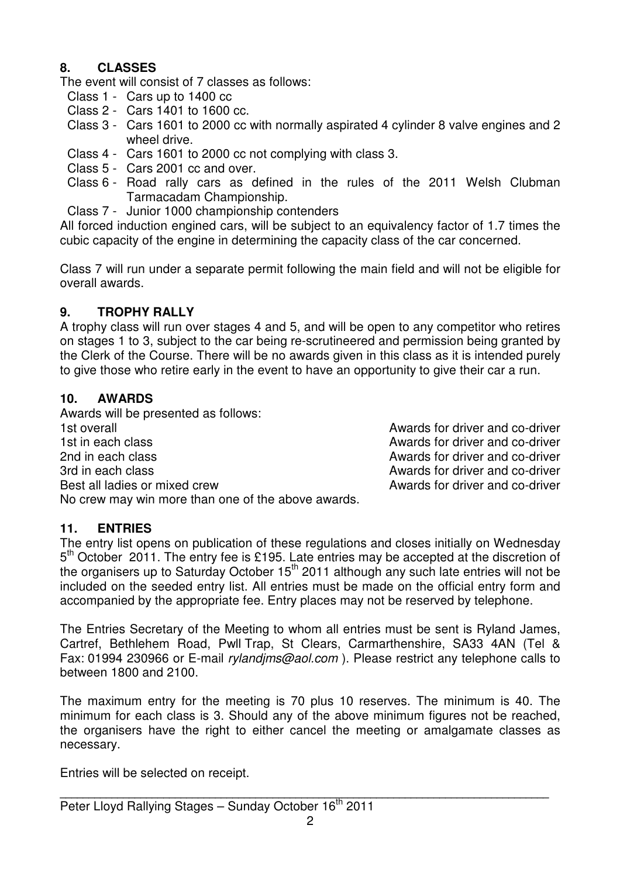#### **8. CLASSES**

The event will consist of 7 classes as follows:

- Class 1 Cars up to 1400 cc
- Class 2 Cars 1401 to 1600 cc.
- Class 3 Cars 1601 to 2000 cc with normally aspirated 4 cylinder 8 valve engines and 2 wheel drive.
- Class 4 Cars 1601 to 2000 cc not complying with class 3.
- Class 5 Cars 2001 cc and over.
- Class 6 Road rally cars as defined in the rules of the 2011 Welsh Clubman Tarmacadam Championship.
- Class 7 Junior 1000 championship contenders

All forced induction engined cars, will be subject to an equivalency factor of 1.7 times the cubic capacity of the engine in determining the capacity class of the car concerned.

Class 7 will run under a separate permit following the main field and will not be eligible for overall awards.

#### **9. TROPHY RALLY**

A trophy class will run over stages 4 and 5, and will be open to any competitor who retires on stages 1 to 3, subject to the car being re-scrutineered and permission being granted by the Clerk of the Course. There will be no awards given in this class as it is intended purely to give those who retire early in the event to have an opportunity to give their car a run.

#### **10. AWARDS**

Awards will be presented as follows: 1st overall and co-driver and co-driver and co-driver 1st in each class **Awards** for driver and co-driver 2nd in each class **Awards for driver and co-driver** 2nd in each class Awards for driver and co-driver 3rd in each class Awards for driver and co-driver Best all ladies or mixed crew and co-driver and co-driver No crew may win more than one of the above awards.

#### **11. ENTRIES**

The entry list opens on publication of these regulations and closes initially on Wednesday 5<sup>th</sup> October 2011. The entry fee is £195. Late entries may be accepted at the discretion of the organisers up to Saturday October 15<sup>th</sup> 2011 although any such late entries will not be included on the seeded entry list. All entries must be made on the official entry form and accompanied by the appropriate fee. Entry places may not be reserved by telephone.

The Entries Secretary of the Meeting to whom all entries must be sent is Ryland James, Cartref, Bethlehem Road, Pwll Trap, St Clears, Carmarthenshire, SA33 4AN (Tel & Fax: 01994 230966 or E-mail rylandjms@aol.com ). Please restrict any telephone calls to between 1800 and 2100.

The maximum entry for the meeting is 70 plus 10 reserves. The minimum is 40. The minimum for each class is 3. Should any of the above minimum figures not be reached, the organisers have the right to either cancel the meeting or amalgamate classes as necessary.

Entries will be selected on receipt.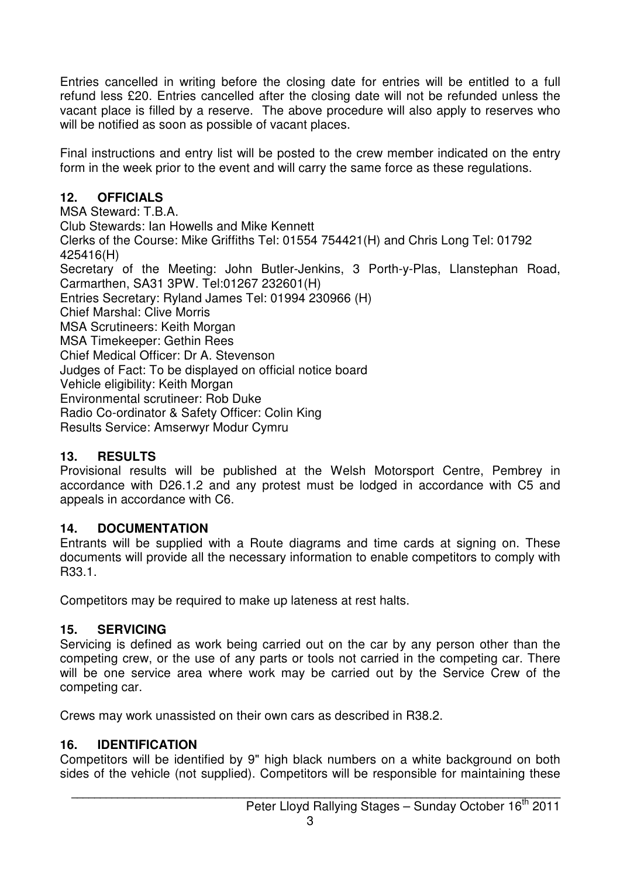Entries cancelled in writing before the closing date for entries will be entitled to a full refund less £20. Entries cancelled after the closing date will not be refunded unless the vacant place is filled by a reserve. The above procedure will also apply to reserves who will be notified as soon as possible of vacant places.

Final instructions and entry list will be posted to the crew member indicated on the entry form in the week prior to the event and will carry the same force as these regulations.

#### **12. OFFICIALS**

MSA Steward: T.B.A. Club Stewards: Ian Howells and Mike Kennett Clerks of the Course: Mike Griffiths Tel: 01554 754421(H) and Chris Long Tel: 01792 425416(H) Secretary of the Meeting: John Butler-Jenkins, 3 Porth-y-Plas, Llanstephan Road, Carmarthen, SA31 3PW. Tel:01267 232601(H) Entries Secretary: Ryland James Tel: 01994 230966 (H) Chief Marshal: Clive Morris MSA Scrutineers: Keith Morgan MSA Timekeeper: Gethin Rees Chief Medical Officer: Dr A. Stevenson Judges of Fact: To be displayed on official notice board Vehicle eligibility: Keith Morgan Environmental scrutineer: Rob Duke Radio Co-ordinator & Safety Officer: Colin King Results Service: Amserwyr Modur Cymru

#### **13. RESULTS**

Provisional results will be published at the Welsh Motorsport Centre, Pembrey in accordance with D26.1.2 and any protest must be lodged in accordance with C5 and appeals in accordance with C6.

## **14. DOCUMENTATION**

Entrants will be supplied with a Route diagrams and time cards at signing on. These documents will provide all the necessary information to enable competitors to comply with R33.1.

Competitors may be required to make up lateness at rest halts.

## **15. SERVICING**

Servicing is defined as work being carried out on the car by any person other than the competing crew, or the use of any parts or tools not carried in the competing car. There will be one service area where work may be carried out by the Service Crew of the competing car.

Crews may work unassisted on their own cars as described in R38.2.

## **16. IDENTIFICATION**

Competitors will be identified by 9" high black numbers on a white background on both sides of the vehicle (not supplied). Competitors will be responsible for maintaining these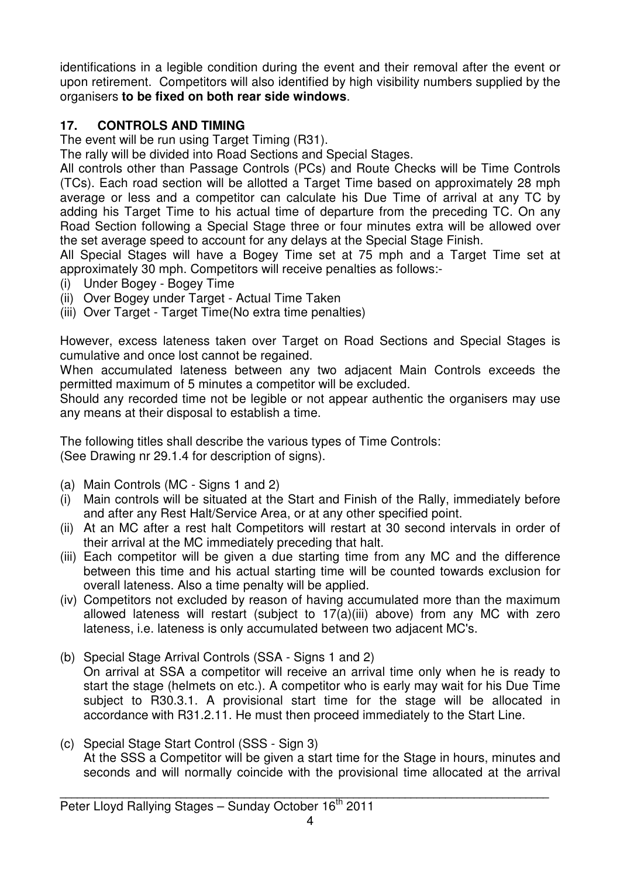identifications in a legible condition during the event and their removal after the event or upon retirement. Competitors will also identified by high visibility numbers supplied by the organisers **to be fixed on both rear side windows**.

## **17. CONTROLS AND TIMING**

The event will be run using Target Timing (R31).

The rally will be divided into Road Sections and Special Stages.

All controls other than Passage Controls (PCs) and Route Checks will be Time Controls (TCs). Each road section will be allotted a Target Time based on approximately 28 mph average or less and a competitor can calculate his Due Time of arrival at any TC by adding his Target Time to his actual time of departure from the preceding TC. On any Road Section following a Special Stage three or four minutes extra will be allowed over the set average speed to account for any delays at the Special Stage Finish.

All Special Stages will have a Bogey Time set at 75 mph and a Target Time set at approximately 30 mph. Competitors will receive penalties as follows:-

- (i) Under Bogey Bogey Time
- (ii) Over Bogey under Target Actual Time Taken
- (iii) Over Target Target Time(No extra time penalties)

However, excess lateness taken over Target on Road Sections and Special Stages is cumulative and once lost cannot be regained.

When accumulated lateness between any two adjacent Main Controls exceeds the permitted maximum of 5 minutes a competitor will be excluded.

Should any recorded time not be legible or not appear authentic the organisers may use any means at their disposal to establish a time.

The following titles shall describe the various types of Time Controls: (See Drawing nr 29.1.4 for description of signs).

- (a) Main Controls (MC Signs 1 and 2)
- (i) Main controls will be situated at the Start and Finish of the Rally, immediately before and after any Rest Halt/Service Area, or at any other specified point.
- (ii) At an MC after a rest halt Competitors will restart at 30 second intervals in order of their arrival at the MC immediately preceding that halt.
- (iii) Each competitor will be given a due starting time from any MC and the difference between this time and his actual starting time will be counted towards exclusion for overall lateness. Also a time penalty will be applied.
- (iv) Competitors not excluded by reason of having accumulated more than the maximum allowed lateness will restart (subject to  $17(a)(iii)$  above) from any MC with zero lateness, i.e. lateness is only accumulated between two adjacent MC's.
- (b) Special Stage Arrival Controls (SSA Signs 1 and 2) On arrival at SSA a competitor will receive an arrival time only when he is ready to start the stage (helmets on etc.). A competitor who is early may wait for his Due Time subject to R30.3.1. A provisional start time for the stage will be allocated in accordance with R31.2.11. He must then proceed immediately to the Start Line.
- (c) Special Stage Start Control (SSS Sign 3) At the SSS a Competitor will be given a start time for the Stage in hours, minutes and seconds and will normally coincide with the provisional time allocated at the arrival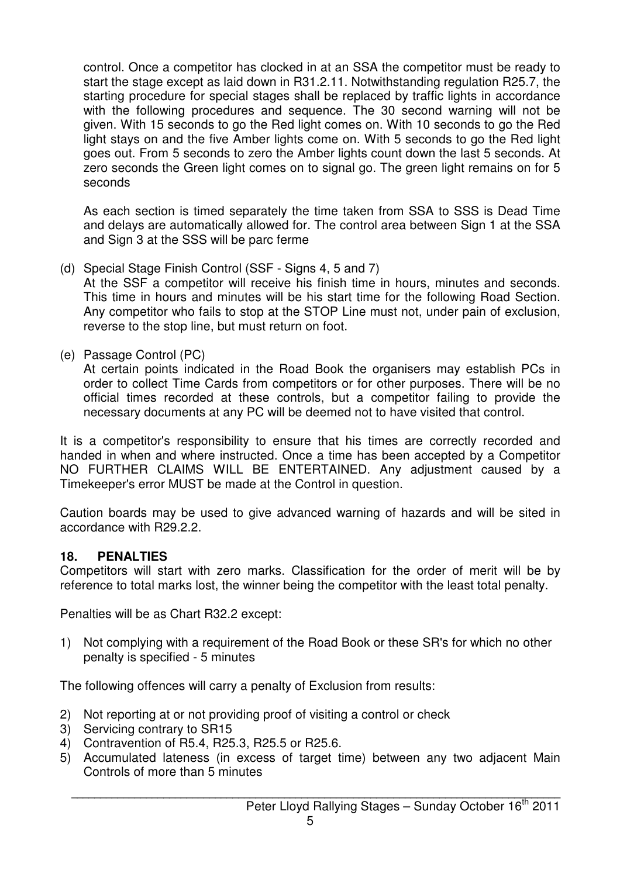control. Once a competitor has clocked in at an SSA the competitor must be ready to start the stage except as laid down in R31.2.11. Notwithstanding regulation R25.7, the starting procedure for special stages shall be replaced by traffic lights in accordance with the following procedures and sequence. The 30 second warning will not be given. With 15 seconds to go the Red light comes on. With 10 seconds to go the Red light stays on and the five Amber lights come on. With 5 seconds to go the Red light goes out. From 5 seconds to zero the Amber lights count down the last 5 seconds. At zero seconds the Green light comes on to signal go. The green light remains on for 5 seconds

 As each section is timed separately the time taken from SSA to SSS is Dead Time and delays are automatically allowed for. The control area between Sign 1 at the SSA and Sign 3 at the SSS will be parc ferme

- (d) Special Stage Finish Control (SSF Signs 4, 5 and 7) At the SSF a competitor will receive his finish time in hours, minutes and seconds. This time in hours and minutes will be his start time for the following Road Section. Any competitor who fails to stop at the STOP Line must not, under pain of exclusion, reverse to the stop line, but must return on foot.
- (e) Passage Control (PC)

 At certain points indicated in the Road Book the organisers may establish PCs in order to collect Time Cards from competitors or for other purposes. There will be no official times recorded at these controls, but a competitor failing to provide the necessary documents at any PC will be deemed not to have visited that control.

It is a competitor's responsibility to ensure that his times are correctly recorded and handed in when and where instructed. Once a time has been accepted by a Competitor NO FURTHER CLAIMS WILL BE ENTERTAINED. Any adjustment caused by a Timekeeper's error MUST be made at the Control in question.

Caution boards may be used to give advanced warning of hazards and will be sited in accordance with R29.2.2.

#### **18. PENALTIES**

Competitors will start with zero marks. Classification for the order of merit will be by reference to total marks lost, the winner being the competitor with the least total penalty.

Penalties will be as Chart R32.2 except:

1) Not complying with a requirement of the Road Book or these SR's for which no other penalty is specified - 5 minutes

The following offences will carry a penalty of Exclusion from results:

- 2) Not reporting at or not providing proof of visiting a control or check
- 3) Servicing contrary to SR15
- 4) Contravention of R5.4, R25.3, R25.5 or R25.6.
- 5) Accumulated lateness (in excess of target time) between any two adjacent Main Controls of more than 5 minutes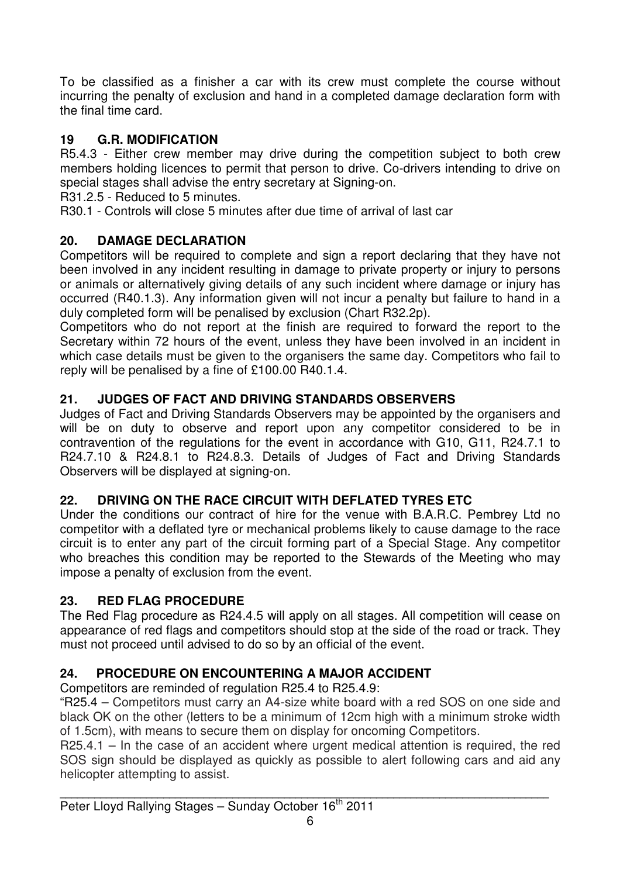To be classified as a finisher a car with its crew must complete the course without incurring the penalty of exclusion and hand in a completed damage declaration form with the final time card.

#### **19 G.R. MODIFICATION**

R5.4.3 - Either crew member may drive during the competition subject to both crew members holding licences to permit that person to drive. Co-drivers intending to drive on special stages shall advise the entry secretary at Signing-on.

R31.2.5 - Reduced to 5 minutes.

R30.1 - Controls will close 5 minutes after due time of arrival of last car

#### **20. DAMAGE DECLARATION**

Competitors will be required to complete and sign a report declaring that they have not been involved in any incident resulting in damage to private property or injury to persons or animals or alternatively giving details of any such incident where damage or injury has occurred (R40.1.3). Any information given will not incur a penalty but failure to hand in a duly completed form will be penalised by exclusion (Chart R32.2p).

Competitors who do not report at the finish are required to forward the report to the Secretary within 72 hours of the event, unless they have been involved in an incident in which case details must be given to the organisers the same day. Competitors who fail to reply will be penalised by a fine of £100.00 R40.1.4.

#### **21. JUDGES OF FACT AND DRIVING STANDARDS OBSERVERS**

Judges of Fact and Driving Standards Observers may be appointed by the organisers and will be on duty to observe and report upon any competitor considered to be in contravention of the regulations for the event in accordance with G10, G11, R24.7.1 to R24.7.10 & R24.8.1 to R24.8.3. Details of Judges of Fact and Driving Standards Observers will be displayed at signing-on.

#### **22. DRIVING ON THE RACE CIRCUIT WITH DEFLATED TYRES ETC**

Under the conditions our contract of hire for the venue with B.A.R.C. Pembrey Ltd no competitor with a deflated tyre or mechanical problems likely to cause damage to the race circuit is to enter any part of the circuit forming part of a Special Stage. Any competitor who breaches this condition may be reported to the Stewards of the Meeting who may impose a penalty of exclusion from the event.

#### **23. RED FLAG PROCEDURE**

The Red Flag procedure as R24.4.5 will apply on all stages. All competition will cease on appearance of red flags and competitors should stop at the side of the road or track. They must not proceed until advised to do so by an official of the event.

## **24. PROCEDURE ON ENCOUNTERING A MAJOR ACCIDENT**

Competitors are reminded of regulation R25.4 to R25.4.9:

"R25.4 – Competitors must carry an A4-size white board with a red SOS on one side and black OK on the other (letters to be a minimum of 12cm high with a minimum stroke width of 1.5cm), with means to secure them on display for oncoming Competitors.

R25.4.1 – In the case of an accident where urgent medical attention is required, the red SOS sign should be displayed as quickly as possible to alert following cars and aid any helicopter attempting to assist.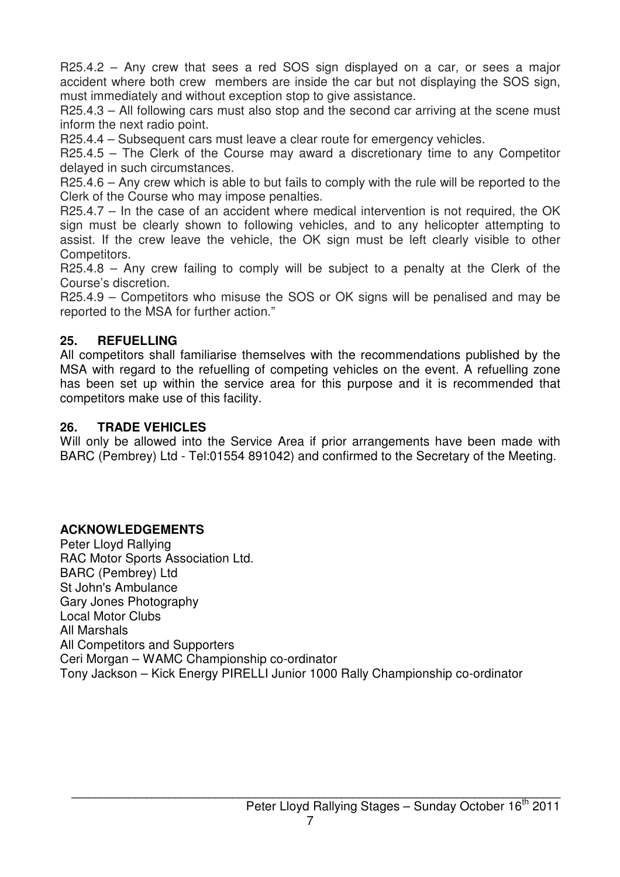R25.4.2 – Any crew that sees a red SOS sign displayed on a car, or sees a major accident where both crew members are inside the car but not displaying the SOS sign, must immediately and without exception stop to give assistance.

R25.4.3 – All following cars must also stop and the second car arriving at the scene must inform the next radio point.

R25.4.4 – Subsequent cars must leave a clear route for emergency vehicles.

R25.4.5 – The Clerk of the Course may award a discretionary time to any Competitor delayed in such circumstances.

R25.4.6 – Any crew which is able to but fails to comply with the rule will be reported to the Clerk of the Course who may impose penalties.

R25.4.7 – In the case of an accident where medical intervention is not required, the OK sign must be clearly shown to following vehicles, and to any helicopter attempting to assist. If the crew leave the vehicle, the OK sign must be left clearly visible to other Competitors.

R25.4.8 – Any crew failing to comply will be subject to a penalty at the Clerk of the Course's discretion.

R25.4.9 – Competitors who misuse the SOS or OK signs will be penalised and may be reported to the MSA for further action."

#### **25. REFUELLING**

All competitors shall familiarise themselves with the recommendations published by the MSA with regard to the refuelling of competing vehicles on the event. A refuelling zone has been set up within the service area for this purpose and it is recommended that competitors make use of this facility.

#### **26. TRADE VEHICLES**

Will only be allowed into the Service Area if prior arrangements have been made with BARC (Pembrey) Ltd - Tel:01554 891042) and confirmed to the Secretary of the Meeting.

#### **ACKNOWLEDGEMENTS**

Peter Lloyd Rallying RAC Motor Sports Association Ltd. BARC (Pembrey) Ltd St John's Ambulance Gary Jones Photography Local Motor Clubs All Marshals All Competitors and Supporters Ceri Morgan – WAMC Championship co-ordinator Tony Jackson – Kick Energy PIRELLI Junior 1000 Rally Championship co-ordinator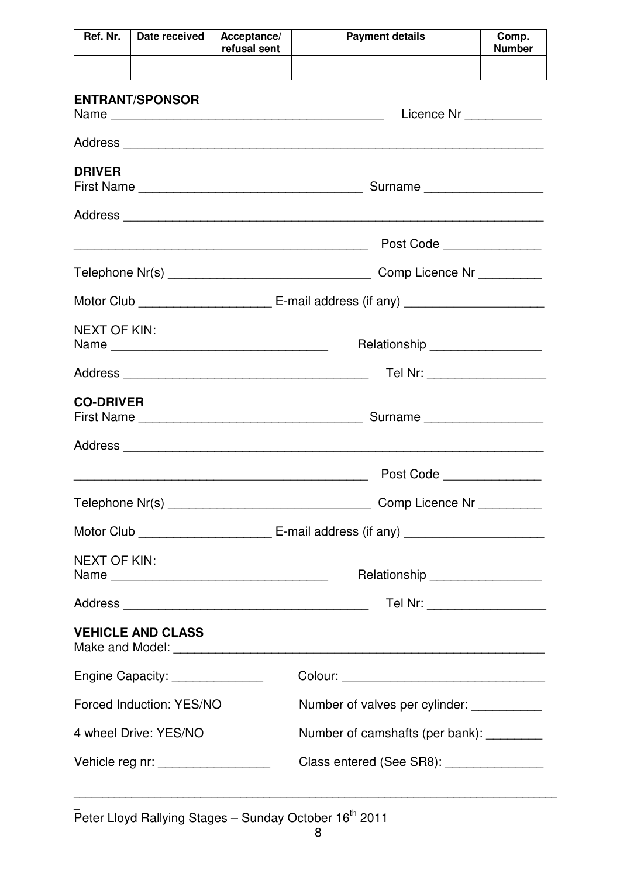| Ref. Nr.                                                | Date received                                                                   | Acceptance/<br>refusal sent    | <b>Payment details</b>                    | Comp.<br><b>Number</b> |  |  |
|---------------------------------------------------------|---------------------------------------------------------------------------------|--------------------------------|-------------------------------------------|------------------------|--|--|
|                                                         |                                                                                 |                                |                                           |                        |  |  |
|                                                         | <b>ENTRANT/SPONSOR</b>                                                          |                                | Licence Nr ____________                   |                        |  |  |
|                                                         |                                                                                 |                                |                                           |                        |  |  |
| <b>DRIVER</b>                                           |                                                                                 |                                | Surname                                   |                        |  |  |
|                                                         |                                                                                 |                                |                                           |                        |  |  |
|                                                         |                                                                                 |                                | Post Code                                 |                        |  |  |
|                                                         |                                                                                 |                                | Comp Licence Nr _________                 |                        |  |  |
|                                                         |                                                                                 |                                |                                           |                        |  |  |
| <b>NEXT OF KIN:</b><br>Relationship ___________________ |                                                                                 |                                |                                           |                        |  |  |
| Tel Nr: ____________________                            |                                                                                 |                                |                                           |                        |  |  |
| <b>CO-DRIVER</b>                                        |                                                                                 |                                | Surname                                   |                        |  |  |
|                                                         |                                                                                 |                                |                                           |                        |  |  |
|                                                         |                                                                                 |                                | Post Code _______________                 |                        |  |  |
|                                                         |                                                                                 |                                | Comp Licence Nr _________                 |                        |  |  |
|                                                         |                                                                                 |                                |                                           |                        |  |  |
|                                                         | <b>NEXT OF KIN:</b><br>Relationship __________________                          |                                |                                           |                        |  |  |
|                                                         | Tel Nr: ____________________                                                    |                                |                                           |                        |  |  |
|                                                         | <b>VEHICLE AND CLASS</b>                                                        |                                |                                           |                        |  |  |
|                                                         | Engine Capacity: _______________                                                |                                |                                           |                        |  |  |
|                                                         | Forced Induction: YES/NO                                                        | Number of valves per cylinder: |                                           |                        |  |  |
|                                                         | 4 wheel Drive: YES/NO                                                           |                                | Number of camshafts (per bank): _________ |                        |  |  |
|                                                         | Class entered (See SR8): ________________<br>Vehicle reg nr: __________________ |                                |                                           |                        |  |  |

**\_**  Peter Lloyd Rallying Stages – Sunday October 16<sup>th</sup> 2011

**\_\_\_\_\_\_\_\_\_\_\_\_\_\_\_\_\_\_\_\_\_\_\_\_\_\_\_\_\_\_\_\_\_\_\_\_\_\_\_\_\_\_\_\_\_\_\_\_\_\_\_\_\_\_\_\_\_\_\_\_\_\_\_\_\_\_\_\_\_\_\_\_\_\_\_\_\_\_\_\_\_\_\_\_**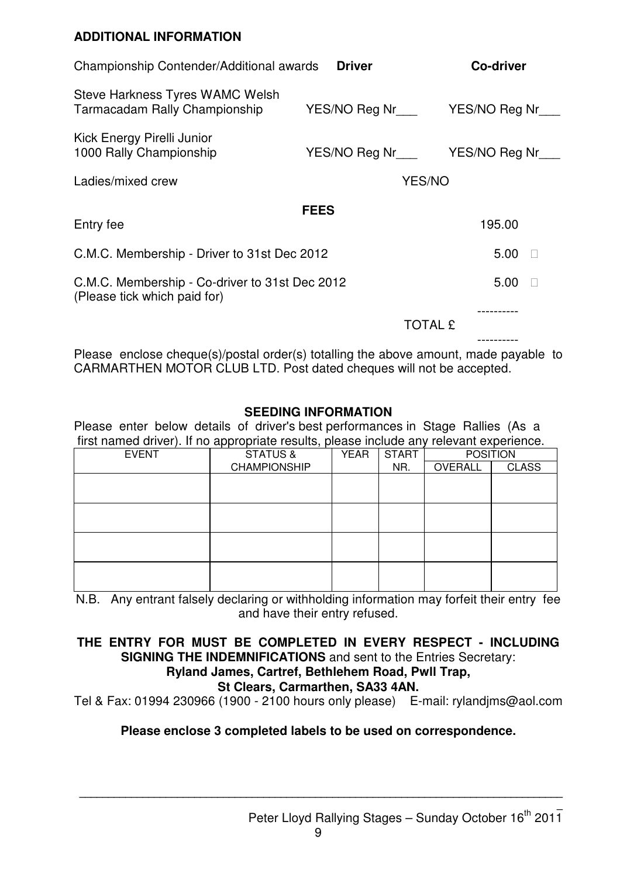#### **ADDITIONAL INFORMATION**

| Championship Contender/Additional awards                                       | <b>Driver</b>                         | <b>Co-driver</b> |
|--------------------------------------------------------------------------------|---------------------------------------|------------------|
| Steve Harkness Tyres WAMC Welsh<br>Tarmacadam Rally Championship               | YES/NO Reg Nr                         | YES/NO Reg Nr    |
| Kick Energy Pirelli Junior<br>1000 Rally Championship                          | YES/NO Reg Nr__________YES/NO Reg Nr_ |                  |
| Ladies/mixed crew                                                              | <b>YES/NO</b>                         |                  |
|                                                                                | <b>FEES</b>                           |                  |
| Entry fee                                                                      |                                       | 195.00           |
| C.M.C. Membership - Driver to 31st Dec 2012                                    |                                       | 5.00             |
| C.M.C. Membership - Co-driver to 31st Dec 2012<br>(Please tick which paid for) |                                       | 5.00             |
|                                                                                | TOTAL £                               |                  |
|                                                                                |                                       |                  |

Please enclose cheque(s)/postal order(s) totalling the above amount, made payable to CARMARTHEN MOTOR CLUB LTD. Post dated cheques will not be accepted.

#### **SEEDING INFORMATION**

Please enter below details of driver's best performances in Stage Rallies (As a first named driver). If no appropriate results, please include any relevant experience.

| <b>EVENT</b> | <b>STATUS &amp;</b> | <b>START</b><br><b>YEAR</b> |     | <b>POSITION</b> |              |
|--------------|---------------------|-----------------------------|-----|-----------------|--------------|
|              | <b>CHAMPIONSHIP</b> |                             | NR. | OVERALL         | <b>CLASS</b> |
|              |                     |                             |     |                 |              |
|              |                     |                             |     |                 |              |
|              |                     |                             |     |                 |              |
|              |                     |                             |     |                 |              |
|              |                     |                             |     |                 |              |
|              |                     |                             |     |                 |              |
|              |                     |                             |     |                 |              |
|              |                     |                             |     |                 |              |

N.B. Any entrant falsely declaring or withholding information may forfeit their entry fee and have their entry refused.

#### **THE ENTRY FOR MUST BE COMPLETED IN EVERY RESPECT - INCLUDING SIGNING THE INDEMNIFICATIONS** and sent to the Entries Secretary:

## **Ryland James, Cartref, Bethlehem Road, Pwll Trap,**

#### **St Clears, Carmarthen, SA33 4AN.**

Tel & Fax: 01994 230966 (1900 - 2100 hours only please) E-mail: rylandjms@aol.com

#### **Please enclose 3 completed labels to be used on correspondence.**

**\_\_\_\_\_\_\_\_\_\_\_\_\_\_\_\_\_\_\_\_\_\_\_\_\_\_\_\_\_\_\_\_\_\_\_\_\_\_\_\_\_\_\_\_\_\_\_\_\_\_\_\_\_\_\_\_\_\_\_\_\_\_\_\_\_\_\_\_\_\_\_\_\_\_\_\_\_\_\_\_\_\_\_\_**